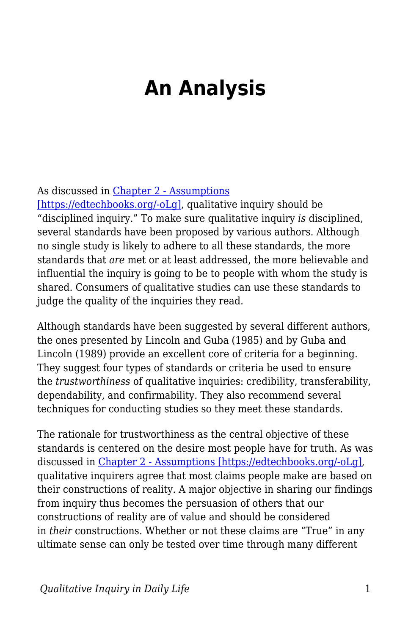## **An Analysis**

## As discussed in [Chapter 2 - Assumptions](https://edtechbooks.org/qualitativeinquiry/assumptions)

[\[https://edtechbooks.org/-oLg\],](https://edtechbooks.org/qualitativeinquiry/assumptions) qualitative inquiry should be "disciplined inquiry." To make sure qualitative inquiry *is* disciplined, several standards have been proposed by various authors. Although no single study is likely to adhere to all these standards, the more standards that *are* met or at least addressed, the more believable and influential the inquiry is going to be to people with whom the study is shared. Consumers of qualitative studies can use these standards to judge the quality of the inquiries they read.

Although standards have been suggested by several different authors, the ones presented by Lincoln and Guba (1985) and by Guba and Lincoln (1989) provide an excellent core of criteria for a beginning. They suggest four types of standards or criteria be used to ensure the *trustworthiness* of qualitative inquiries: credibility, transferability, dependability, and confirmability. They also recommend several techniques for conducting studies so they meet these standards.

The rationale for trustworthiness as the central objective of these standards is centered on the desire most people have for truth. As was discussed in [Chapter 2 - Assumptions \[https://edtechbooks.org/-oLg\],](https://edtechbooks.org/qualitativeinquiry/assumptions) qualitative inquirers agree that most claims people make are based on their constructions of reality. A major objective in sharing our findings from inquiry thus becomes the persuasion of others that our constructions of reality are of value and should be considered in *their* constructions. Whether or not these claims are "True" in any ultimate sense can only be tested over time through many different